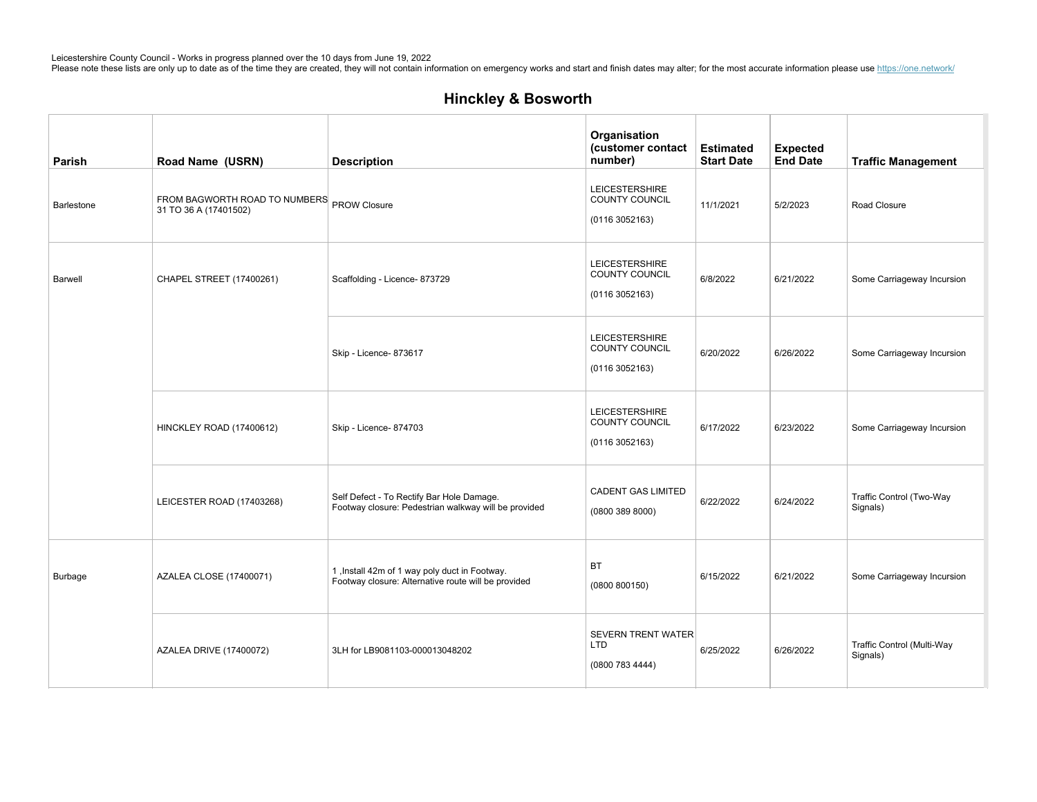| Parish         | Road Name (USRN)                                                    | <b>Description</b>                                                                                   | Organisation<br>(customer contact<br>number)                    | <b>Estimated</b><br><b>Start Date</b> | <b>Expected</b><br><b>End Date</b> | <b>Traffic Management</b>              |
|----------------|---------------------------------------------------------------------|------------------------------------------------------------------------------------------------------|-----------------------------------------------------------------|---------------------------------------|------------------------------------|----------------------------------------|
| Barlestone     | FROM BAGWORTH ROAD TO NUMBERS PROW Closure<br>31 TO 36 A (17401502) |                                                                                                      | <b>LEICESTERSHIRE</b><br>COUNTY COUNCIL<br>(01163052163)        | 11/1/2021                             | 5/2/2023                           | Road Closure                           |
| Barwell        | CHAPEL STREET (17400261)                                            | Scaffolding - Licence- 873729                                                                        | <b>LEICESTERSHIRE</b><br>COUNTY COUNCIL<br>(01163052163)        | 6/8/2022                              | 6/21/2022                          | Some Carriageway Incursion             |
|                |                                                                     | Skip - Licence- 873617                                                                               | <b>LEICESTERSHIRE</b><br>COUNTY COUNCIL<br>(01163052163)        | 6/20/2022                             | 6/26/2022                          | Some Carriageway Incursion             |
|                | HINCKLEY ROAD (17400612)                                            | Skip - Licence- 874703                                                                               | <b>LEICESTERSHIRE</b><br><b>COUNTY COUNCIL</b><br>(01163052163) | 6/17/2022                             | 6/23/2022                          | Some Carriageway Incursion             |
|                | LEICESTER ROAD (17403268)                                           | Self Defect - To Rectify Bar Hole Damage.<br>Footway closure: Pedestrian walkway will be provided    | <b>CADENT GAS LIMITED</b><br>(0800 389 8000)                    | 6/22/2022                             | 6/24/2022                          | Traffic Control (Two-Way<br>Signals)   |
| <b>Burbage</b> | <b>AZALEA CLOSE (17400071)</b>                                      | 1, Install 42m of 1 way poly duct in Footway.<br>Footway closure: Alternative route will be provided | <b>BT</b><br>(0800 800150)                                      | 6/15/2022                             | 6/21/2022                          | Some Carriageway Incursion             |
|                | AZALEA DRIVE (17400072)                                             | 3LH for LB9081103-000013048202                                                                       | <b>SEVERN TRENT WATER</b><br>LTD<br>(0800 783 4444)             | 6/25/2022                             | 6/26/2022                          | Traffic Control (Multi-Way<br>Signals) |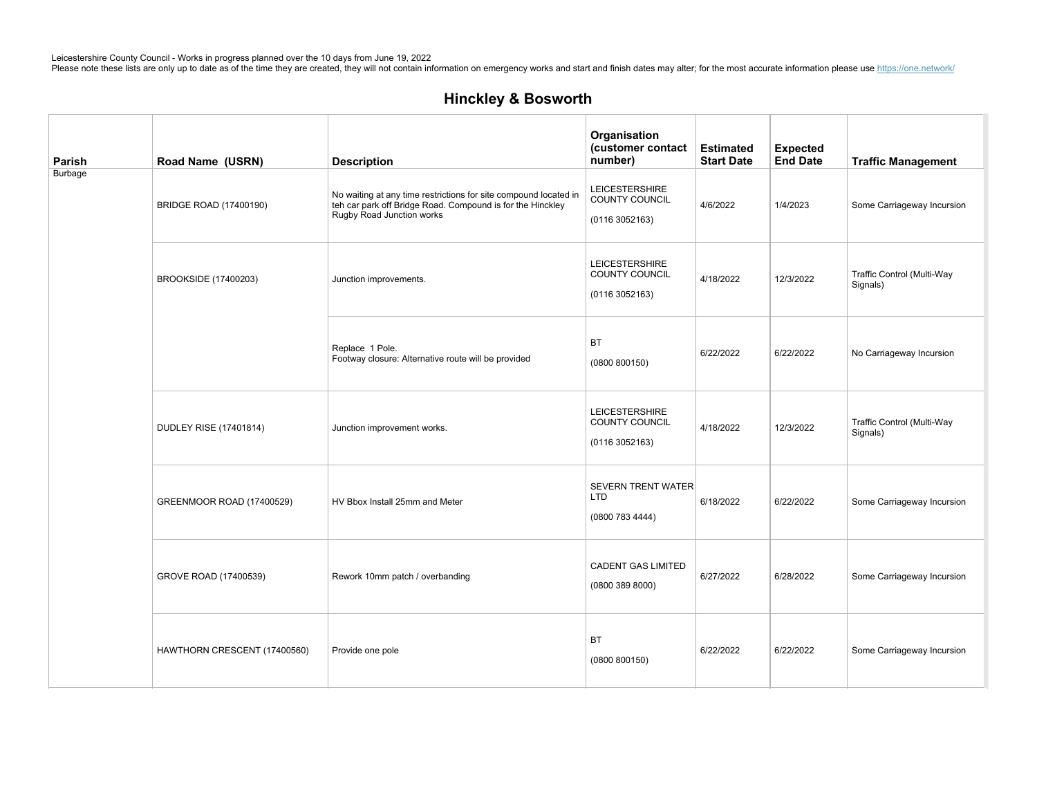| Parish         | Road Name (USRN)              | <b>Description</b>                                                                                                                                          | Organisation<br>(customer contact<br>number)               | <b>Estimated</b><br><b>Start Date</b> | <b>Expected</b><br><b>End Date</b> | <b>Traffic Management</b>              |
|----------------|-------------------------------|-------------------------------------------------------------------------------------------------------------------------------------------------------------|------------------------------------------------------------|---------------------------------------|------------------------------------|----------------------------------------|
| <b>Burbage</b> | BRIDGE ROAD (17400190)        | No waiting at any time restrictions for site compound located in<br>teh car park off Bridge Road. Compound is for the Hinckley<br>Rugby Road Junction works | <b>LEICESTERSHIRE</b><br>COUNTY COUNCIL<br>(01163052163)   | 4/6/2022                              | 1/4/2023                           | Some Carriageway Incursion             |
|                | BROOKSIDE (17400203)          | Junction improvements.                                                                                                                                      | <b>LEICESTERSHIRE</b><br>COUNTY COUNCIL<br>(01163052163)   | 4/18/2022                             | 12/3/2022                          | Traffic Control (Multi-Way<br>Signals) |
|                |                               | Replace 1 Pole.<br>Footway closure: Alternative route will be provided                                                                                      | <b>BT</b><br>(0800 800150)                                 | 6/22/2022                             | 6/22/2022                          | No Carriageway Incursion               |
|                | <b>DUDLEY RISE (17401814)</b> | Junction improvement works.                                                                                                                                 | <b>LEICESTERSHIRE</b><br>COUNTY COUNCIL<br>(01163052163)   | 4/18/2022                             | 12/3/2022                          | Traffic Control (Multi-Way<br>Signals) |
|                | GREENMOOR ROAD (17400529)     | HV Bbox Install 25mm and Meter                                                                                                                              | <b>SEVERN TRENT WATER</b><br><b>LTD</b><br>(0800 783 4444) | 6/18/2022                             | 6/22/2022                          | Some Carriageway Incursion             |
|                | GROVE ROAD (17400539)         | Rework 10mm patch / overbanding                                                                                                                             | <b>CADENT GAS LIMITED</b><br>(08003898000)                 | 6/27/2022                             | 6/28/2022                          | Some Carriageway Incursion             |
|                | HAWTHORN CRESCENT (17400560)  | Provide one pole                                                                                                                                            | BT<br>(0800 800150)                                        | 6/22/2022                             | 6/22/2022                          | Some Carriageway Incursion             |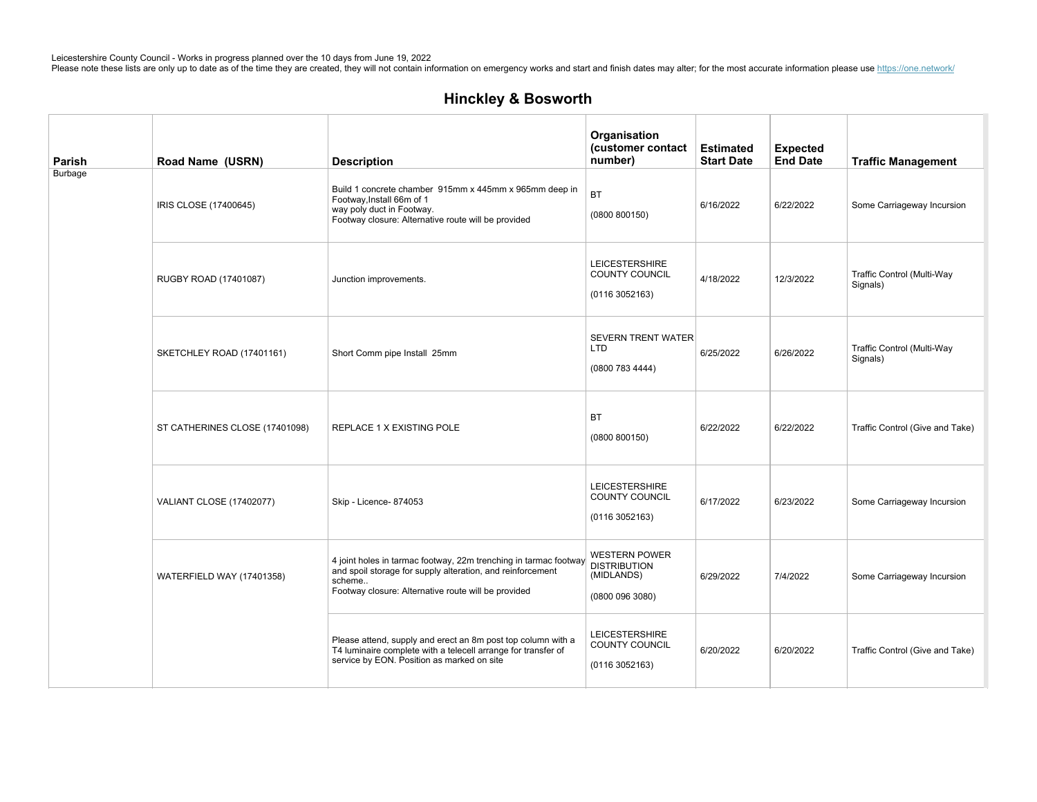| Parish  | Road Name (USRN)                | <b>Description</b>                                                                                                                                                                              | Organisation<br>(customer contact<br>number)                                 | <b>Estimated</b><br><b>Start Date</b> | <b>Expected</b><br><b>End Date</b> | <b>Traffic Management</b>              |
|---------|---------------------------------|-------------------------------------------------------------------------------------------------------------------------------------------------------------------------------------------------|------------------------------------------------------------------------------|---------------------------------------|------------------------------------|----------------------------------------|
| Burbage | IRIS CLOSE (17400645)           | Build 1 concrete chamber 915mm x 445mm x 965mm deep in<br>Footway, Install 66m of 1<br>way poly duct in Footway.<br>Footway closure: Alternative route will be provided                         | <b>BT</b><br>(0800 800150)                                                   | 6/16/2022                             | 6/22/2022                          | Some Carriageway Incursion             |
|         | RUGBY ROAD (17401087)           | Junction improvements.                                                                                                                                                                          | <b>LEICESTERSHIRE</b><br>COUNTY COUNCIL<br>(0116 3052163)                    | 4/18/2022                             | 12/3/2022                          | Traffic Control (Multi-Way<br>Signals) |
|         | SKETCHLEY ROAD (17401161)       | Short Comm pipe Install 25mm                                                                                                                                                                    | <b>SEVERN TRENT WATER</b><br><b>LTD</b><br>(0800 783 4444)                   | 6/25/2022                             | 6/26/2022                          | Traffic Control (Multi-Way<br>Signals) |
|         | ST CATHERINES CLOSE (17401098)  | REPLACE 1 X EXISTING POLE                                                                                                                                                                       | <b>BT</b><br>(0800 800150)                                                   | 6/22/2022                             | 6/22/2022                          | Traffic Control (Give and Take)        |
|         | <b>VALIANT CLOSE (17402077)</b> | Skip - Licence- 874053                                                                                                                                                                          | <b>LEICESTERSHIRE</b><br>COUNTY COUNCIL<br>(01163052163)                     | 6/17/2022                             | 6/23/2022                          | Some Carriageway Incursion             |
|         | WATERFIELD WAY (17401358)       | 4 joint holes in tarmac footway, 22m trenching in tarmac footway<br>and spoil storage for supply alteration, and reinforcement<br>scheme<br>Footway closure: Alternative route will be provided | <b>WESTERN POWER</b><br><b>DISTRIBUTION</b><br>(MIDLANDS)<br>(0800 096 3080) | 6/29/2022                             | 7/4/2022                           | Some Carriageway Incursion             |
|         |                                 | Please attend, supply and erect an 8m post top column with a<br>T4 luminaire complete with a telecell arrange for transfer of<br>service by EON. Position as marked on site                     | <b>LEICESTERSHIRE</b><br>COUNTY COUNCIL<br>(0116 3052163)                    | 6/20/2022                             | 6/20/2022                          | Traffic Control (Give and Take)        |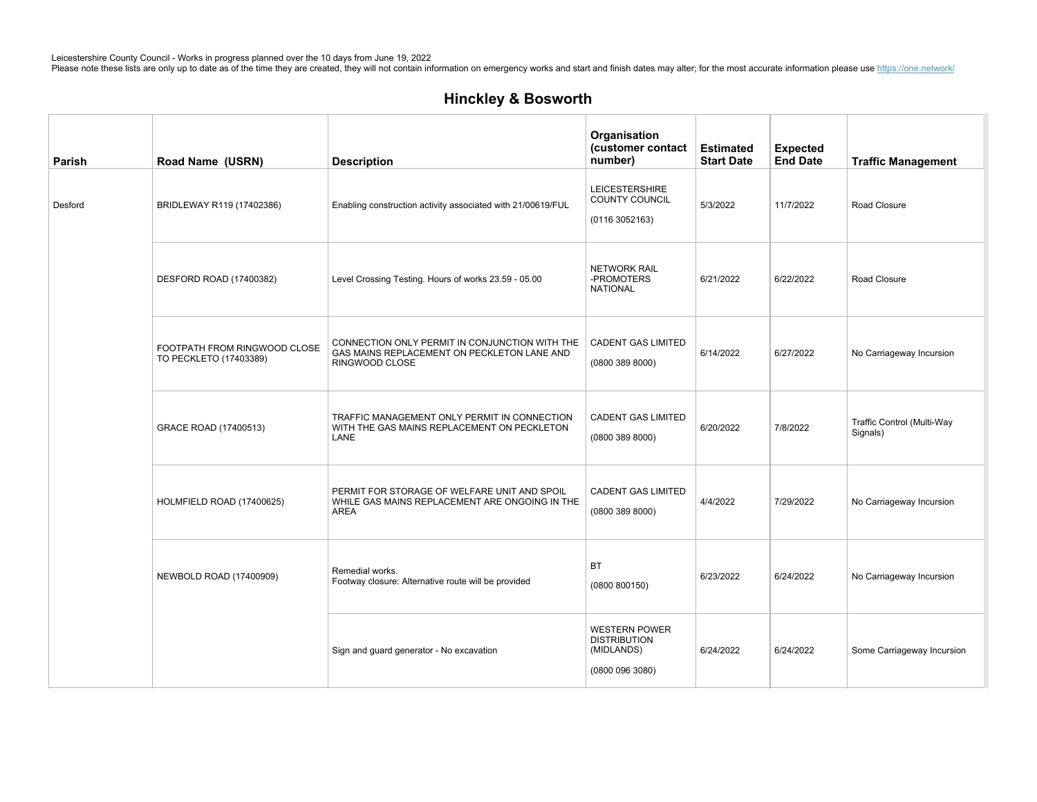| Parish  | Road Name (USRN)                                       | <b>Description</b>                                                                                              | Organisation<br>(customer contact<br>number)                                 | <b>Estimated</b><br><b>Start Date</b> | <b>Expected</b><br><b>End Date</b> | <b>Traffic Management</b>              |
|---------|--------------------------------------------------------|-----------------------------------------------------------------------------------------------------------------|------------------------------------------------------------------------------|---------------------------------------|------------------------------------|----------------------------------------|
| Desford | BRIDLEWAY R119 (17402386)                              | Enabling construction activity associated with 21/00619/FUL                                                     | <b>LEICESTERSHIRE</b><br>COUNTY COUNCIL<br>(0116 3052163)                    | 5/3/2022                              | 11/7/2022                          | Road Closure                           |
|         | DESFORD ROAD (17400382)                                | Level Crossing Testing. Hours of works 23.59 - 05.00                                                            | <b>NETWORK RAIL</b><br>-PROMOTERS<br><b>NATIONAL</b>                         | 6/21/2022                             | 6/22/2022                          | Road Closure                           |
|         | FOOTPATH FROM RINGWOOD CLOSE<br>TO PECKLETO (17403389) | CONNECTION ONLY PERMIT IN CONJUNCTION WITH THE<br>GAS MAINS REPLACEMENT ON PECKLETON LANE AND<br>RINGWOOD CLOSE | <b>CADENT GAS LIMITED</b><br>(0800 389 8000)                                 | 6/14/2022                             | 6/27/2022                          | No Carriageway Incursion               |
|         | GRACE ROAD (17400513)                                  | TRAFFIC MANAGEMENT ONLY PERMIT IN CONNECTION<br>WITH THE GAS MAINS REPLACEMENT ON PECKLETON<br>LANE             | <b>CADENT GAS LIMITED</b><br>(0800 389 8000)                                 | 6/20/2022                             | 7/8/2022                           | Traffic Control (Multi-Way<br>Signals) |
|         | HOLMFIELD ROAD (17400625)                              | PERMIT FOR STORAGE OF WELFARE UNIT AND SPOIL<br>WHILE GAS MAINS REPLACEMENT ARE ONGOING IN THE<br><b>AREA</b>   | <b>CADENT GAS LIMITED</b><br>(0800 389 8000)                                 | 4/4/2022                              | 7/29/2022                          | No Carriageway Incursion               |
|         | NEWBOLD ROAD (17400909)                                | Remedial works.<br>Footway closure: Alternative route will be provided                                          | <b>BT</b><br>(0800 800150)                                                   | 6/23/2022                             | 6/24/2022                          | No Carriageway Incursion               |
|         |                                                        | Sign and guard generator - No excavation                                                                        | <b>WESTERN POWER</b><br><b>DISTRIBUTION</b><br>(MIDLANDS)<br>(0800 096 3080) | 6/24/2022                             | 6/24/2022                          | Some Carriageway Incursion             |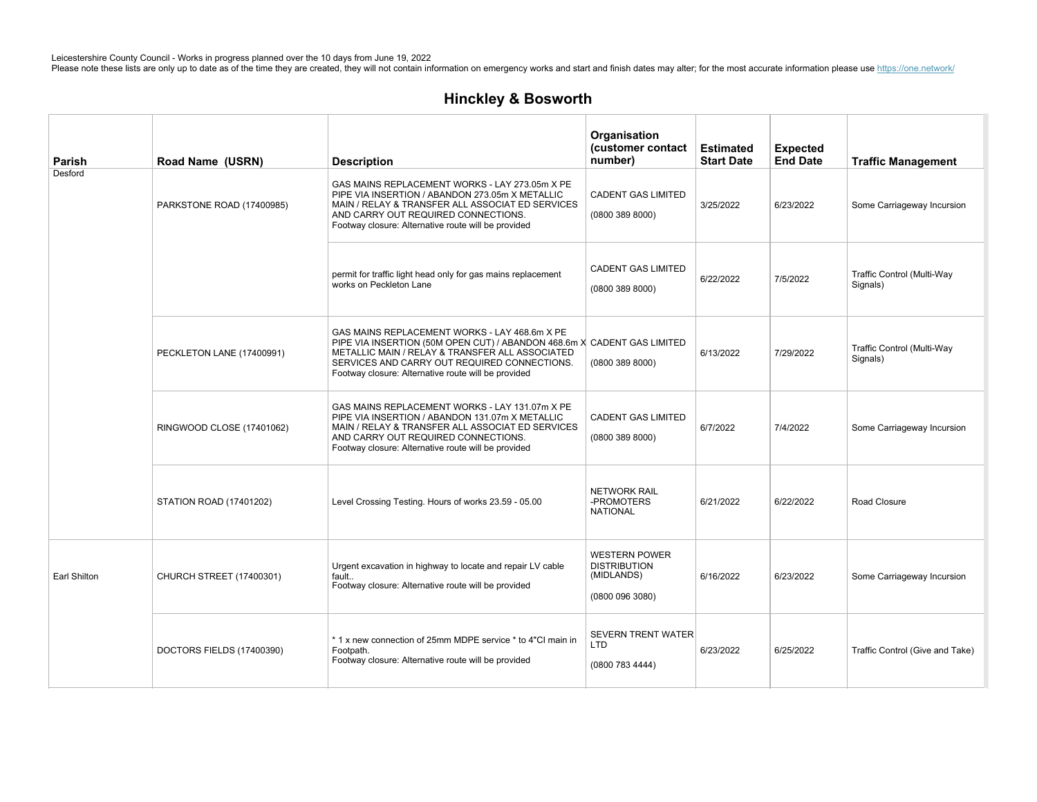| Parish       | Road Name (USRN)          | <b>Description</b>                                                                                                                                                                                                                                                                 | Organisation<br>(customer contact<br>number)                                 | <b>Estimated</b><br><b>Start Date</b> | <b>Expected</b><br><b>End Date</b> | <b>Traffic Management</b>              |
|--------------|---------------------------|------------------------------------------------------------------------------------------------------------------------------------------------------------------------------------------------------------------------------------------------------------------------------------|------------------------------------------------------------------------------|---------------------------------------|------------------------------------|----------------------------------------|
| Desford      | PARKSTONE ROAD (17400985) | GAS MAINS REPLACEMENT WORKS - LAY 273.05m X PE<br>PIPE VIA INSERTION / ABANDON 273.05m X METALLIC<br>MAIN / RELAY & TRANSFER ALL ASSOCIAT ED SERVICES<br>AND CARRY OUT REQUIRED CONNECTIONS.<br>Footway closure: Alternative route will be provided                                | <b>CADENT GAS LIMITED</b><br>(0800 389 8000)                                 | 3/25/2022                             | 6/23/2022                          | Some Carriageway Incursion             |
|              |                           | permit for traffic light head only for gas mains replacement<br>works on Peckleton Lane                                                                                                                                                                                            | <b>CADENT GAS LIMITED</b><br>(0800 389 8000)                                 | 6/22/2022                             | 7/5/2022                           | Traffic Control (Multi-Way<br>Signals) |
|              | PECKLETON LANE (17400991) | GAS MAINS REPLACEMENT WORKS - LAY 468.6m X PE<br>PIPE VIA INSERTION (50M OPEN CUT) / ABANDON 468.6m X CADENT GAS LIMITED<br>METALLIC MAIN / RELAY & TRANSFER ALL ASSOCIATED<br>SERVICES AND CARRY OUT REQUIRED CONNECTIONS.<br>Footway closure: Alternative route will be provided | (0800 389 8000)                                                              | 6/13/2022                             | 7/29/2022                          | Traffic Control (Multi-Way<br>Signals) |
|              | RINGWOOD CLOSE (17401062) | GAS MAINS REPLACEMENT WORKS - LAY 131.07m X PE<br>PIPE VIA INSERTION / ABANDON 131.07m X METALLIC<br>MAIN / RELAY & TRANSFER ALL ASSOCIAT ED SERVICES<br>AND CARRY OUT REQUIRED CONNECTIONS.<br>Footway closure: Alternative route will be provided                                | <b>CADENT GAS LIMITED</b><br>(0800 389 8000)                                 | 6/7/2022                              | 7/4/2022                           | Some Carriageway Incursion             |
|              | STATION ROAD (17401202)   | Level Crossing Testing. Hours of works 23.59 - 05.00                                                                                                                                                                                                                               | <b>NETWORK RAIL</b><br>-PROMOTERS<br><b>NATIONAL</b>                         | 6/21/2022                             | 6/22/2022                          | Road Closure                           |
| Earl Shilton | CHURCH STREET (17400301)  | Urgent excavation in highway to locate and repair LV cable<br>fault<br>Footway closure: Alternative route will be provided                                                                                                                                                         | <b>WESTERN POWER</b><br><b>DISTRIBUTION</b><br>(MIDLANDS)<br>(0800 096 3080) | 6/16/2022                             | 6/23/2022                          | Some Carriageway Incursion             |
|              | DOCTORS FIELDS (17400390) | *1 x new connection of 25mm MDPE service * to 4"CI main in<br>Footpath.<br>Footway closure: Alternative route will be provided                                                                                                                                                     | <b>SEVERN TRENT WATER</b><br>LTD<br>(0800 783 4444)                          | 6/23/2022                             | 6/25/2022                          | Traffic Control (Give and Take)        |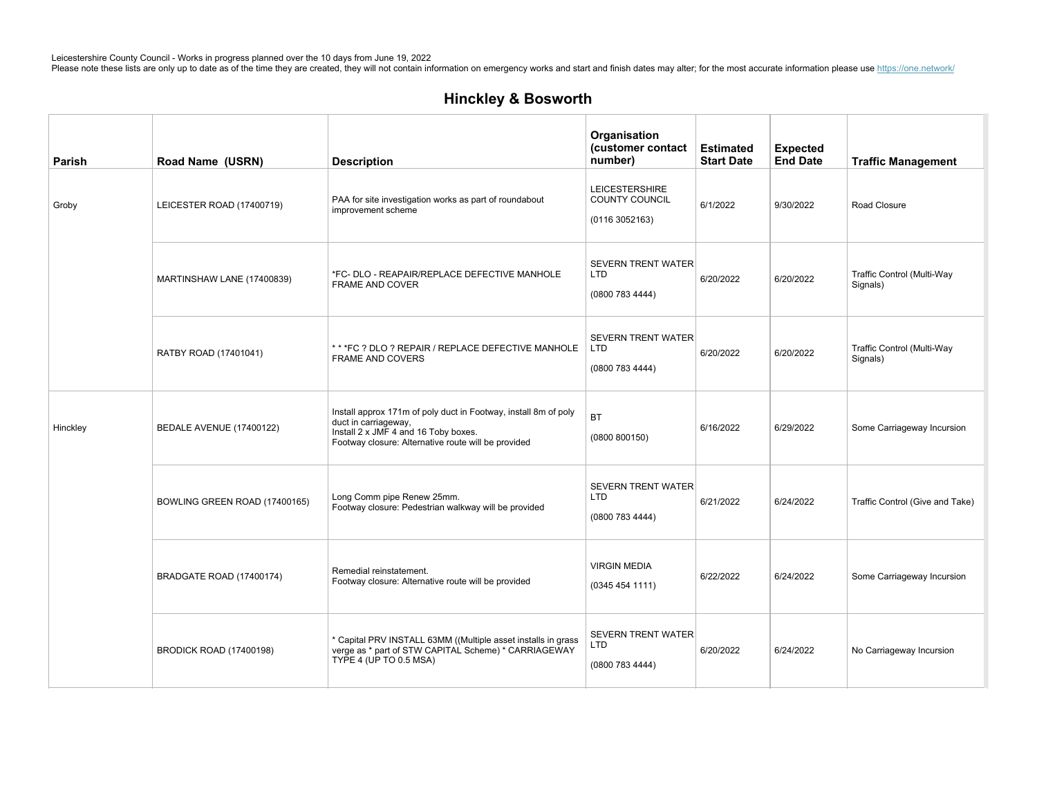| Parish   | Road Name (USRN)               | <b>Description</b>                                                                                                                                                                     | Organisation<br>(customer contact<br>number)                    | <b>Estimated</b><br><b>Start Date</b> | <b>Expected</b><br><b>End Date</b> | <b>Traffic Management</b>              |
|----------|--------------------------------|----------------------------------------------------------------------------------------------------------------------------------------------------------------------------------------|-----------------------------------------------------------------|---------------------------------------|------------------------------------|----------------------------------------|
| Groby    | LEICESTER ROAD (17400719)      | PAA for site investigation works as part of roundabout<br>improvement scheme                                                                                                           | <b>LEICESTERSHIRE</b><br><b>COUNTY COUNCIL</b><br>(01163052163) | 6/1/2022                              | 9/30/2022                          | Road Closure                           |
|          | MARTINSHAW LANE (17400839)     | *FC- DLO - REAPAIR/REPLACE DEFECTIVE MANHOLE<br>FRAME AND COVER                                                                                                                        | <b>SEVERN TRENT WATER</b><br><b>LTD</b><br>(0800 783 4444)      | 6/20/2022                             | 6/20/2022                          | Traffic Control (Multi-Way<br>Signals) |
|          | RATBY ROAD (17401041)          | ** *FC ? DLO ? REPAIR / REPLACE DEFECTIVE MANHOLE<br><b>FRAME AND COVERS</b>                                                                                                           | SEVERN TRENT WATER<br><b>LTD</b><br>(08007834444)               | 6/20/2022                             | 6/20/2022                          | Traffic Control (Multi-Way<br>Signals) |
| Hinckley | BEDALE AVENUE (17400122)       | Install approx 171m of poly duct in Footway, install 8m of poly<br>duct in carriageway,<br>Install 2 x JMF 4 and 16 Toby boxes.<br>Footway closure: Alternative route will be provided | <b>BT</b><br>(0800 800150)                                      | 6/16/2022                             | 6/29/2022                          | Some Carriageway Incursion             |
|          | BOWLING GREEN ROAD (17400165)  | Long Comm pipe Renew 25mm.<br>Footway closure: Pedestrian walkway will be provided                                                                                                     | <b>SEVERN TRENT WATER</b><br><b>LTD</b><br>(0800 783 4444)      | 6/21/2022                             | 6/24/2022                          | Traffic Control (Give and Take)        |
|          | BRADGATE ROAD (17400174)       | Remedial reinstatement.<br>Footway closure: Alternative route will be provided                                                                                                         | <b>VIRGIN MEDIA</b><br>(0345454111)                             | 6/22/2022                             | 6/24/2022                          | Some Carriageway Incursion             |
|          | <b>BRODICK ROAD (17400198)</b> | * Capital PRV INSTALL 63MM ((Multiple asset installs in grass<br>verge as * part of STW CAPITAL Scheme) * CARRIAGEWAY<br>TYPE 4 (UP TO 0.5 MSA)                                        | <b>SEVERN TRENT WATER</b><br><b>LTD</b><br>(0800 783 4444)      | 6/20/2022                             | 6/24/2022                          | No Carriageway Incursion               |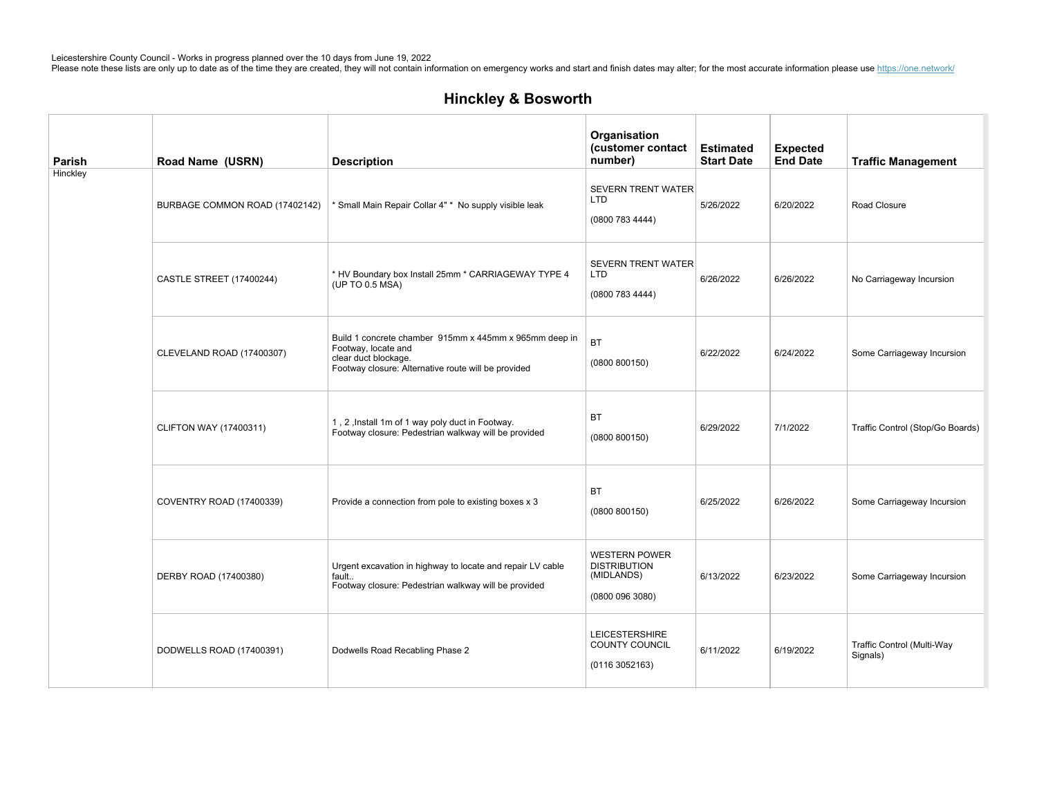| Parish   | Road Name (USRN)               | <b>Description</b>                                                                                                                                           | Organisation<br>(customer contact<br>number)                               | <b>Estimated</b><br><b>Start Date</b> | <b>Expected</b><br><b>End Date</b> | <b>Traffic Management</b>              |
|----------|--------------------------------|--------------------------------------------------------------------------------------------------------------------------------------------------------------|----------------------------------------------------------------------------|---------------------------------------|------------------------------------|----------------------------------------|
| Hinckley | BURBAGE COMMON ROAD (17402142) | * Small Main Repair Collar 4" * No supply visible leak                                                                                                       | SEVERN TRENT WATER<br><b>LTD</b><br>(0800 783 4444)                        | 5/26/2022                             | 6/20/2022                          | Road Closure                           |
|          | CASTLE STREET (17400244)       | * HV Boundary box Install 25mm * CARRIAGEWAY TYPE 4<br>(UP TO 0.5 MSA)                                                                                       | <b>SEVERN TRENT WATER</b><br><b>LTD</b><br>(08007834444)                   | 6/26/2022                             | 6/26/2022                          | No Carriageway Incursion               |
|          | CLEVELAND ROAD (17400307)      | Build 1 concrete chamber 915mm x 445mm x 965mm deep in<br>Footway, locate and<br>clear duct blockage.<br>Footway closure: Alternative route will be provided | <b>BT</b><br>(0800 800150)                                                 | 6/22/2022                             | 6/24/2022                          | Some Carriageway Incursion             |
|          | <b>CLIFTON WAY (17400311)</b>  | 1, 2, Install 1m of 1 way poly duct in Footway.<br>Footway closure: Pedestrian walkway will be provided                                                      | <b>BT</b><br>(0800 800150)                                                 | 6/29/2022                             | 7/1/2022                           | Traffic Control (Stop/Go Boards)       |
|          | COVENTRY ROAD (17400339)       | Provide a connection from pole to existing boxes x 3                                                                                                         | <b>BT</b><br>(0800 800150)                                                 | 6/25/2022                             | 6/26/2022                          | Some Carriageway Incursion             |
|          | DERBY ROAD (17400380)          | Urgent excavation in highway to locate and repair LV cable<br>fault<br>Footway closure: Pedestrian walkway will be provided                                  | <b>WESTERN POWER</b><br><b>DISTRIBUTION</b><br>(MIDLANDS)<br>(08000963080) | 6/13/2022                             | 6/23/2022                          | Some Carriageway Incursion             |
|          | DODWELLS ROAD (17400391)       | Dodwells Road Recabling Phase 2                                                                                                                              | <b>LEICESTERSHIRE</b><br>COUNTY COUNCIL<br>(01163052163)                   | 6/11/2022                             | 6/19/2022                          | Traffic Control (Multi-Way<br>Signals) |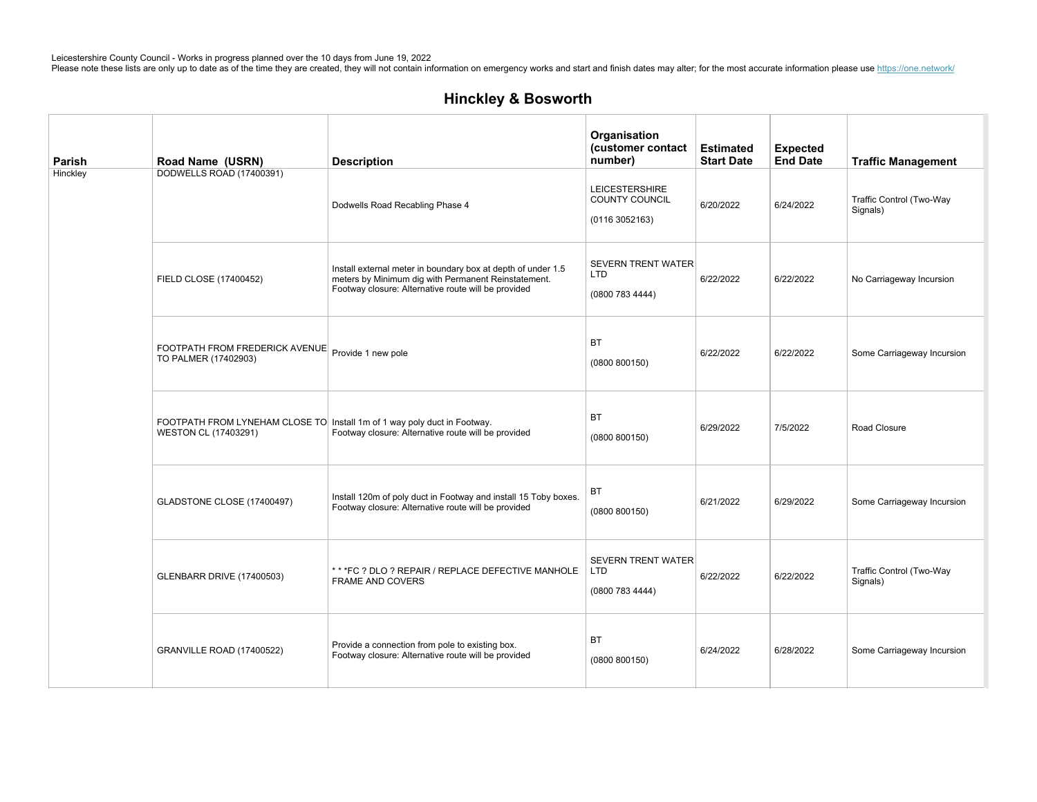| Parish   | Road Name (USRN)                                                                                 | <b>Description</b>                                                                                                                                                         | Organisation<br>(customer contact<br>number)               | <b>Estimated</b><br><b>Start Date</b> | <b>Expected</b><br><b>End Date</b> | <b>Traffic Management</b>            |
|----------|--------------------------------------------------------------------------------------------------|----------------------------------------------------------------------------------------------------------------------------------------------------------------------------|------------------------------------------------------------|---------------------------------------|------------------------------------|--------------------------------------|
| Hinckley | DODWELLS ROAD (17400391)                                                                         | Dodwells Road Recabling Phase 4                                                                                                                                            | <b>LEICESTERSHIRE</b><br>COUNTY COUNCIL<br>(01163052163)   | 6/20/2022                             | 6/24/2022                          | Traffic Control (Two-Way<br>Signals) |
|          | FIELD CLOSE (17400452)                                                                           | Install external meter in boundary box at depth of under 1.5<br>meters by Minimum dig with Permanent Reinstatement.<br>Footway closure: Alternative route will be provided | <b>SEVERN TRENT WATER</b><br><b>LTD</b><br>(0800 783 4444) | 6/22/2022                             | 6/22/2022                          | No Carriageway Incursion             |
|          | FOOTPATH FROM FREDERICK AVENUE<br>TO PALMER (17402903)                                           | Provide 1 new pole                                                                                                                                                         | BT<br>(0800 800150)                                        | 6/22/2022                             | 6/22/2022                          | Some Carriageway Incursion           |
|          | FOOTPATH FROM LYNEHAM CLOSE TO Install 1m of 1 way poly duct in Footway.<br>WESTON CL (17403291) | Footway closure: Alternative route will be provided                                                                                                                        | <b>BT</b><br>(0800 800150)                                 | 6/29/2022                             | 7/5/2022                           | Road Closure                         |
|          | GLADSTONE CLOSE (17400497)                                                                       | Install 120m of poly duct in Footway and install 15 Toby boxes.<br>Footway closure: Alternative route will be provided                                                     | <b>BT</b><br>(0800 800150)                                 | 6/21/2022                             | 6/29/2022                          | Some Carriageway Incursion           |
|          | <b>GLENBARR DRIVE (17400503)</b>                                                                 | * * * FC ? DLO ? REPAIR / REPLACE DEFECTIVE MANHOLE<br><b>FRAME AND COVERS</b>                                                                                             | <b>SEVERN TRENT WATER</b><br><b>LTD</b><br>(0800 783 4444) | 6/22/2022                             | 6/22/2022                          | Traffic Control (Two-Way<br>Signals) |
|          | GRANVILLE ROAD (17400522)                                                                        | Provide a connection from pole to existing box.<br>Footway closure: Alternative route will be provided                                                                     | <b>BT</b><br>(0800 800150)                                 | 6/24/2022                             | 6/28/2022                          | Some Carriageway Incursion           |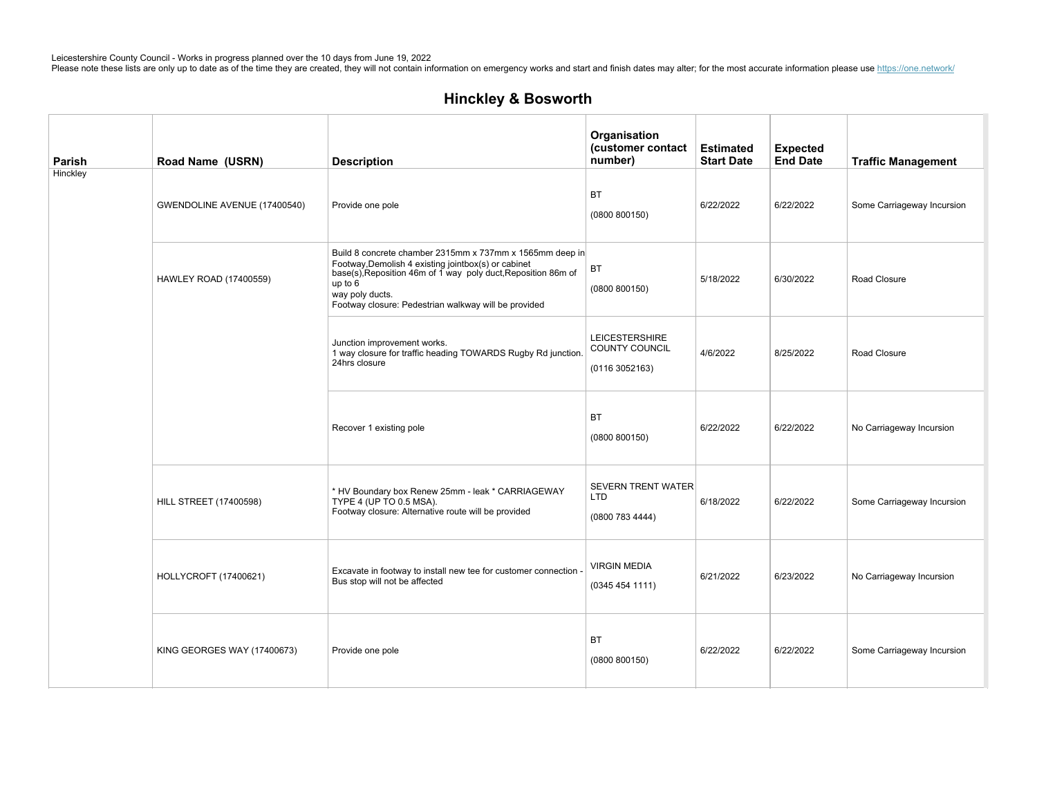| Parish   | Road Name (USRN)              | <b>Description</b>                                                                                                                                                                                                                                                       | Organisation<br>(customer contact<br>number)               | <b>Estimated</b><br><b>Start Date</b> | <b>Expected</b><br><b>End Date</b> | <b>Traffic Management</b>  |
|----------|-------------------------------|--------------------------------------------------------------------------------------------------------------------------------------------------------------------------------------------------------------------------------------------------------------------------|------------------------------------------------------------|---------------------------------------|------------------------------------|----------------------------|
| Hinckley | GWENDOLINE AVENUE (17400540)  | Provide one pole                                                                                                                                                                                                                                                         | <b>BT</b><br>(0800 800150)                                 | 6/22/2022                             | 6/22/2022                          | Some Carriageway Incursion |
|          | HAWLEY ROAD (17400559)        | Build 8 concrete chamber 2315mm x 737mm x 1565mm deep in<br>Footway, Demolish 4 existing jointbox(s) or cabinet<br>base(s), Reposition 46m of 1 way poly duct, Reposition 86m of<br>up to $6$<br>way poly ducts.<br>Footway closure: Pedestrian walkway will be provided | BT<br>(0800 800150)                                        | 5/18/2022                             | 6/30/2022                          | Road Closure               |
|          |                               | Junction improvement works.<br>1 way closure for traffic heading TOWARDS Rugby Rd junction.<br>24hrs closure                                                                                                                                                             | <b>LEICESTERSHIRE</b><br>COUNTY COUNCIL<br>(01163052163)   | 4/6/2022                              | 8/25/2022                          | Road Closure               |
|          |                               | Recover 1 existing pole                                                                                                                                                                                                                                                  | <b>BT</b><br>(0800 800150)                                 | 6/22/2022                             | 6/22/2022                          | No Carriageway Incursion   |
|          | <b>HILL STREET (17400598)</b> | * HV Boundary box Renew 25mm - leak * CARRIAGEWAY<br>TYPE 4 (UP TO 0.5 MSA).<br>Footway closure: Alternative route will be provided                                                                                                                                      | <b>SEVERN TRENT WATER</b><br><b>LTD</b><br>(0800 783 4444) | 6/18/2022                             | 6/22/2022                          | Some Carriageway Incursion |
|          | HOLLYCROFT (17400621)         | Excavate in footway to install new tee for customer connection -<br>Bus stop will not be affected                                                                                                                                                                        | <b>VIRGIN MEDIA</b><br>(03454541111)                       | 6/21/2022                             | 6/23/2022                          | No Carriageway Incursion   |
|          | KING GEORGES WAY (17400673)   | Provide one pole                                                                                                                                                                                                                                                         | <b>BT</b><br>(0800 800150)                                 | 6/22/2022                             | 6/22/2022                          | Some Carriageway Incursion |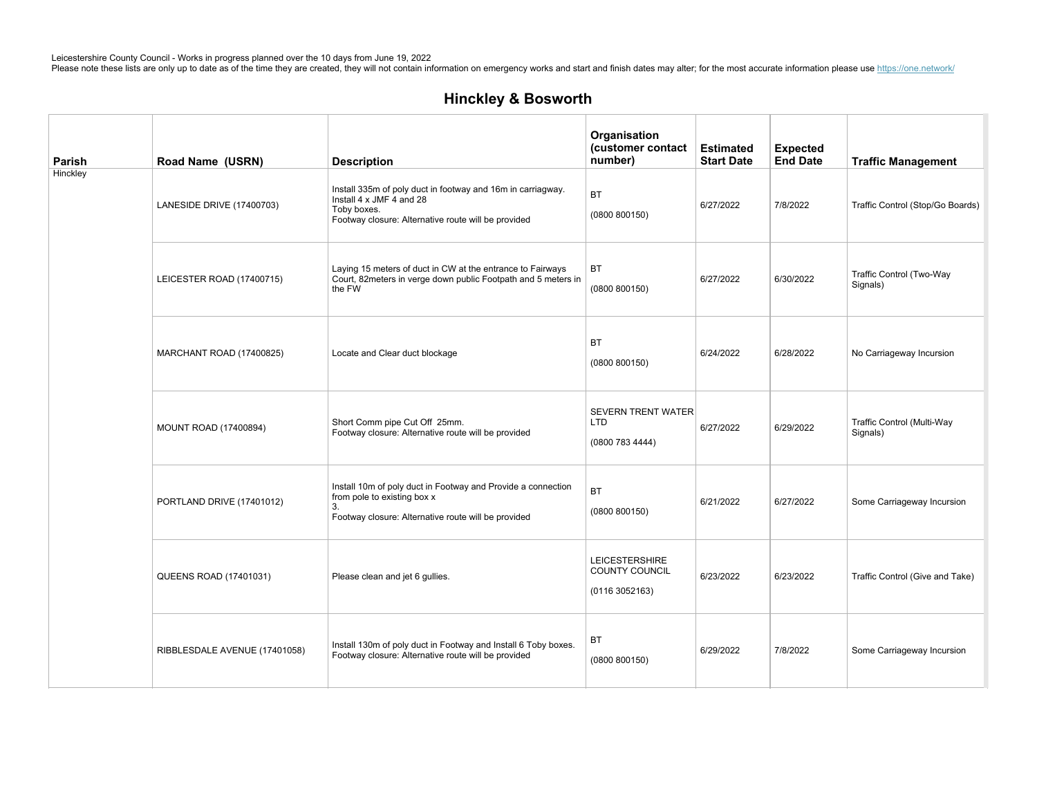| Parish   | Road Name (USRN)              | <b>Description</b>                                                                                                                                            | Organisation<br>(customer contact<br>number)               | <b>Estimated</b><br><b>Start Date</b> | <b>Expected</b><br><b>End Date</b> | <b>Traffic Management</b>              |
|----------|-------------------------------|---------------------------------------------------------------------------------------------------------------------------------------------------------------|------------------------------------------------------------|---------------------------------------|------------------------------------|----------------------------------------|
| Hinckley | LANESIDE DRIVE (17400703)     | Install 335m of poly duct in footway and 16m in carriagway.<br>Install 4 x JMF 4 and 28<br>Toby boxes.<br>Footway closure: Alternative route will be provided | <b>BT</b><br>(0800 800150)                                 | 6/27/2022                             | 7/8/2022                           | Traffic Control (Stop/Go Boards)       |
|          | LEICESTER ROAD (17400715)     | Laying 15 meters of duct in CW at the entrance to Fairways<br>Court, 82meters in verge down public Footpath and 5 meters in<br>the FW                         | BT<br>(0800 800150)                                        | 6/27/2022                             | 6/30/2022                          | Traffic Control (Two-Way<br>Signals)   |
|          | MARCHANT ROAD (17400825)      | Locate and Clear duct blockage                                                                                                                                | <b>BT</b><br>(0800 800150)                                 | 6/24/2022                             | 6/28/2022                          | No Carriageway Incursion               |
|          | <b>MOUNT ROAD (17400894)</b>  | Short Comm pipe Cut Off 25mm.<br>Footway closure: Alternative route will be provided                                                                          | <b>SEVERN TRENT WATER</b><br><b>LTD</b><br>(0800 783 4444) | 6/27/2022                             | 6/29/2022                          | Traffic Control (Multi-Way<br>Signals) |
|          | PORTLAND DRIVE (17401012)     | Install 10m of poly duct in Footway and Provide a connection<br>from pole to existing box x<br>3.<br>Footway closure: Alternative route will be provided      | <b>BT</b><br>(0800 800150)                                 | 6/21/2022                             | 6/27/2022                          | Some Carriageway Incursion             |
|          | QUEENS ROAD (17401031)        | Please clean and jet 6 gullies.                                                                                                                               | <b>LEICESTERSHIRE</b><br>COUNTY COUNCIL<br>(01163052163)   | 6/23/2022                             | 6/23/2022                          | Traffic Control (Give and Take)        |
|          | RIBBLESDALE AVENUE (17401058) | Install 130m of poly duct in Footway and Install 6 Toby boxes.<br>Footway closure: Alternative route will be provided                                         | <b>BT</b><br>(0800 800150)                                 | 6/29/2022                             | 7/8/2022                           | Some Carriageway Incursion             |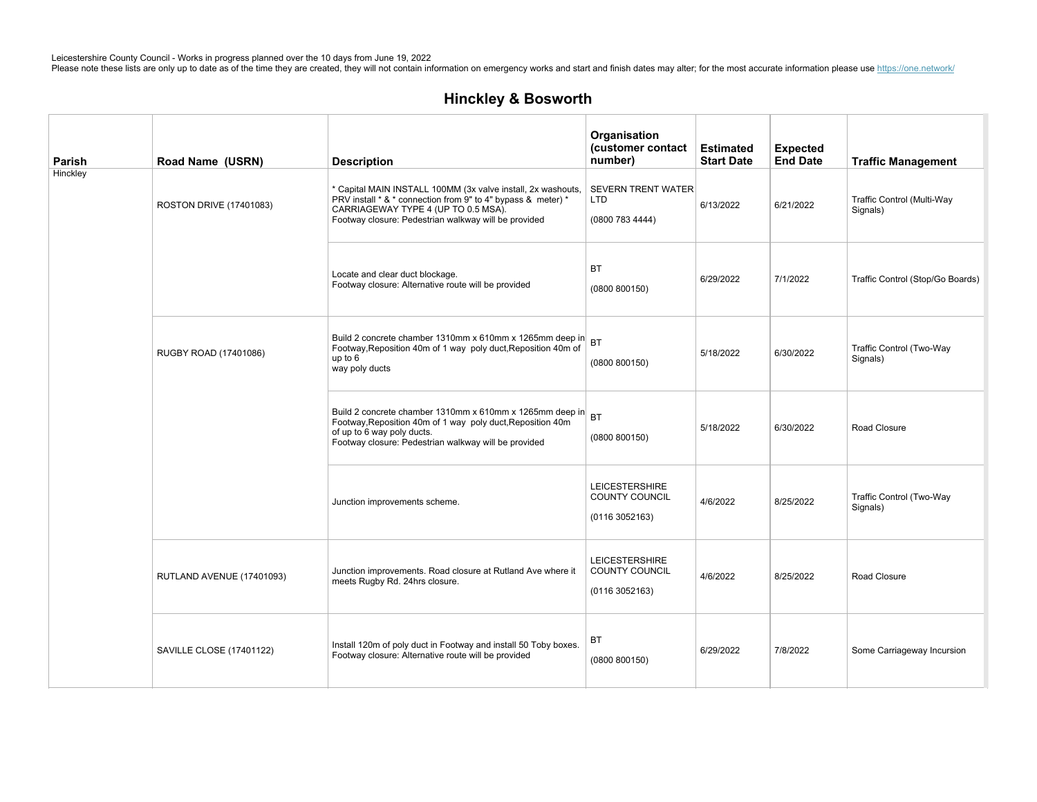| Parish   | Road Name (USRN)          | <b>Description</b>                                                                                                                                                                                                          | Organisation<br>(customer contact<br>number)               | <b>Estimated</b><br><b>Start Date</b> | <b>Expected</b><br><b>End Date</b> | <b>Traffic Management</b>              |
|----------|---------------------------|-----------------------------------------------------------------------------------------------------------------------------------------------------------------------------------------------------------------------------|------------------------------------------------------------|---------------------------------------|------------------------------------|----------------------------------------|
| Hinckley | ROSTON DRIVE (17401083)   | * Capital MAIN INSTALL 100MM (3x valve install, 2x washouts,<br>PRV install * & * connection from 9" to 4" bypass & meter) *<br>CARRIAGEWAY TYPE 4 (UP TO 0.5 MSA).<br>Footway closure: Pedestrian walkway will be provided | <b>SEVERN TRENT WATER</b><br><b>LTD</b><br>(0800 783 4444) | 6/13/2022                             | 6/21/2022                          | Traffic Control (Multi-Way<br>Signals) |
|          |                           | Locate and clear duct blockage.<br>Footway closure: Alternative route will be provided                                                                                                                                      | <b>BT</b><br>(0800 800150)                                 | 6/29/2022                             | 7/1/2022                           | Traffic Control (Stop/Go Boards)       |
|          | RUGBY ROAD (17401086)     | Build 2 concrete chamber 1310mm x 610mm x 1265mm deep in<br>Footway, Reposition 40m of 1 way poly duct, Reposition 40m of<br>up to $6$<br>way poly ducts                                                                    | <b>BT</b><br>(0800 800150)                                 | 5/18/2022                             | 6/30/2022                          | Traffic Control (Two-Way<br>Signals)   |
|          |                           | Build 2 concrete chamber 1310mm x 610mm x 1265mm deep in<br>Footway, Reposition 40m of 1 way poly duct, Reposition 40m<br>of up to 6 way poly ducts.<br>Footway closure: Pedestrian walkway will be provided                | (0800 800150)                                              | 5/18/2022                             | 6/30/2022                          | Road Closure                           |
|          |                           | Junction improvements scheme.                                                                                                                                                                                               | <b>LEICESTERSHIRE</b><br>COUNTY COUNCIL<br>(01163052163)   | 4/6/2022                              | 8/25/2022                          | Traffic Control (Two-Way<br>Signals)   |
|          | RUTLAND AVENUE (17401093) | Junction improvements. Road closure at Rutland Ave where it<br>meets Rugby Rd. 24hrs closure.                                                                                                                               | <b>LEICESTERSHIRE</b><br>COUNTY COUNCIL<br>(01163052163)   | 4/6/2022                              | 8/25/2022                          | Road Closure                           |
|          | SAVILLE CLOSE (17401122)  | Install 120m of poly duct in Footway and install 50 Toby boxes.<br>Footway closure: Alternative route will be provided                                                                                                      | BT<br>(0800 800150)                                        | 6/29/2022                             | 7/8/2022                           | Some Carriageway Incursion             |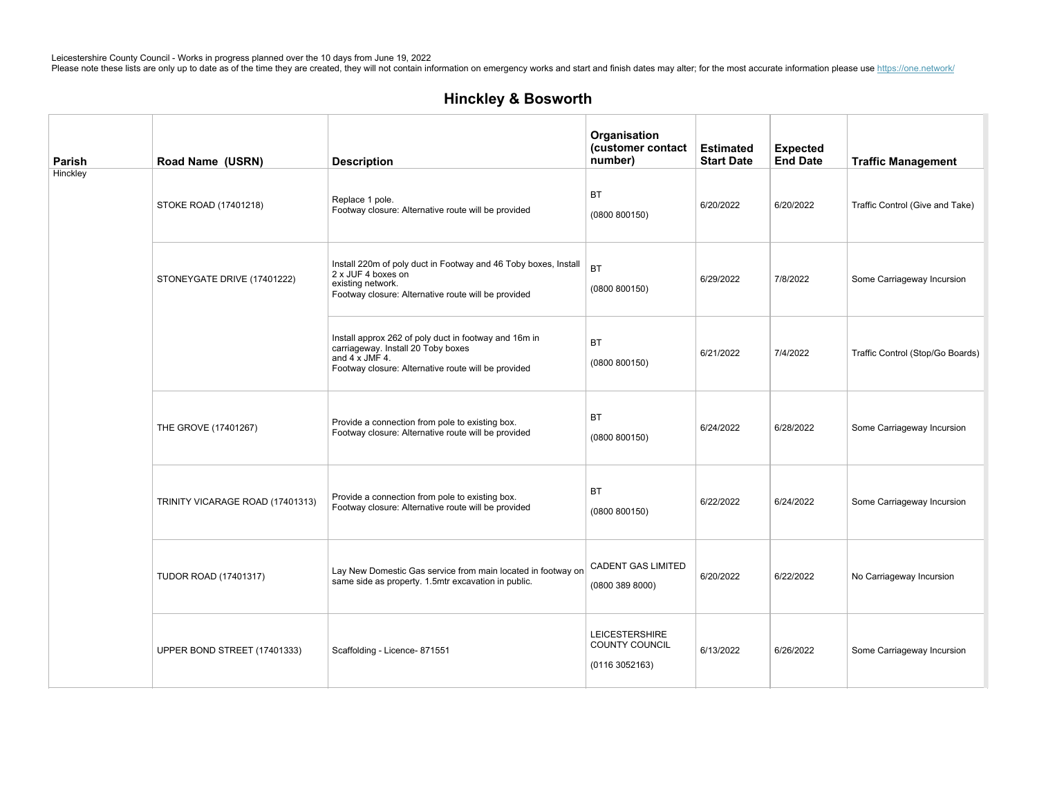| Parish   | Road Name (USRN)                 | <b>Description</b>                                                                                                                                                          | Organisation<br>(customer contact<br>number)             | <b>Estimated</b><br><b>Start Date</b> | <b>Expected</b><br><b>End Date</b> | <b>Traffic Management</b>        |
|----------|----------------------------------|-----------------------------------------------------------------------------------------------------------------------------------------------------------------------------|----------------------------------------------------------|---------------------------------------|------------------------------------|----------------------------------|
| Hinckley | STOKE ROAD (17401218)            | Replace 1 pole.<br>Footway closure: Alternative route will be provided                                                                                                      | <b>BT</b><br>(0800 800150)                               | 6/20/2022                             | 6/20/2022                          | Traffic Control (Give and Take)  |
|          | STONEYGATE DRIVE (17401222)      | Install 220m of poly duct in Footway and 46 Toby boxes, Install<br>2 x JUF 4 boxes on<br>existing network.<br>Footway closure: Alternative route will be provided           | <b>BT</b><br>(0800 800150)                               | 6/29/2022                             | 7/8/2022                           | Some Carriageway Incursion       |
|          |                                  | Install approx 262 of poly duct in footway and 16m in<br>carriageway. Install 20 Toby boxes<br>and $4 \times$ JMF 4.<br>Footway closure: Alternative route will be provided | <b>BT</b><br>(0800 800150)                               | 6/21/2022                             | 7/4/2022                           | Traffic Control (Stop/Go Boards) |
|          | THE GROVE (17401267)             | Provide a connection from pole to existing box.<br>Footway closure: Alternative route will be provided                                                                      | <b>BT</b><br>(0800 800150)                               | 6/24/2022                             | 6/28/2022                          | Some Carriageway Incursion       |
|          | TRINITY VICARAGE ROAD (17401313) | Provide a connection from pole to existing box.<br>Footway closure: Alternative route will be provided                                                                      | <b>BT</b><br>(0800 800150)                               | 6/22/2022                             | 6/24/2022                          | Some Carriageway Incursion       |
|          | <b>TUDOR ROAD (17401317)</b>     | Lay New Domestic Gas service from main located in footway on<br>same side as property. 1.5mtr excavation in public.                                                         | <b>CADENT GAS LIMITED</b><br>(08003898000)               | 6/20/2022                             | 6/22/2022                          | No Carriageway Incursion         |
|          | UPPER BOND STREET (17401333)     | Scaffolding - Licence- 871551                                                                                                                                               | <b>LEICESTERSHIRE</b><br>COUNTY COUNCIL<br>(01163052163) | 6/13/2022                             | 6/26/2022                          | Some Carriageway Incursion       |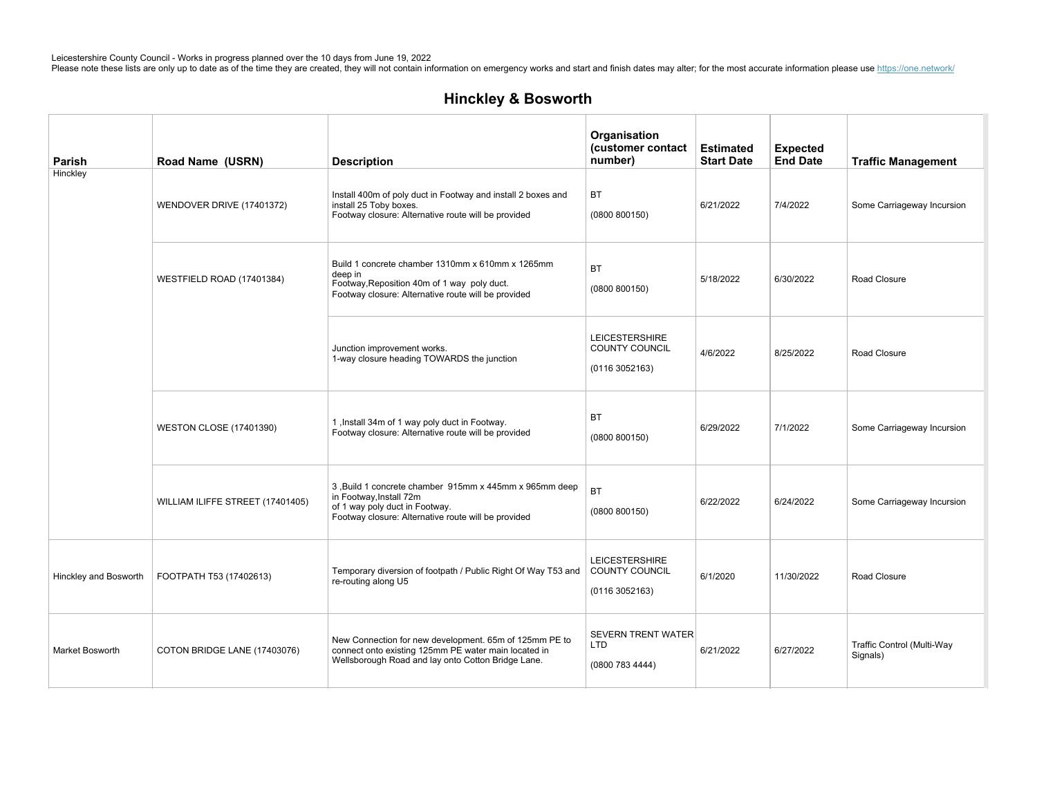| Parish                | Road Name (USRN)                 | <b>Description</b>                                                                                                                                                         | Organisation<br>(customer contact<br>number)               | <b>Estimated</b><br><b>Start Date</b> | <b>Expected</b><br><b>End Date</b> | <b>Traffic Management</b>              |
|-----------------------|----------------------------------|----------------------------------------------------------------------------------------------------------------------------------------------------------------------------|------------------------------------------------------------|---------------------------------------|------------------------------------|----------------------------------------|
| Hinckley              | WENDOVER DRIVE (17401372)        | Install 400m of poly duct in Footway and install 2 boxes and<br>install 25 Toby boxes.<br>Footway closure: Alternative route will be provided                              | ВT<br>(0800 800150)                                        | 6/21/2022                             | 7/4/2022                           | Some Carriageway Incursion             |
|                       | WESTFIELD ROAD (17401384)        | Build 1 concrete chamber 1310mm x 610mm x 1265mm<br>deep in<br>Footway, Reposition 40m of 1 way poly duct.<br>Footway closure: Alternative route will be provided          | <b>BT</b><br>(0800 800150)                                 | 5/18/2022                             | 6/30/2022                          | Road Closure                           |
|                       |                                  | Junction improvement works.<br>1-way closure heading TOWARDS the junction                                                                                                  | <b>LEICESTERSHIRE</b><br>COUNTY COUNCIL<br>(01163052163)   | 4/6/2022                              | 8/25/2022                          | Road Closure                           |
|                       | <b>WESTON CLOSE (17401390)</b>   | 1, Install 34m of 1 way poly duct in Footway.<br>Footway closure: Alternative route will be provided                                                                       | <b>BT</b><br>(0800 800150)                                 | 6/29/2022                             | 7/1/2022                           | Some Carriageway Incursion             |
|                       | WILLIAM ILIFFE STREET (17401405) | 3, Build 1 concrete chamber 915mm x 445mm x 965mm deep<br>in Footway, Install 72m<br>of 1 way poly duct in Footway.<br>Footway closure: Alternative route will be provided | <b>BT</b><br>(0800 800150)                                 | 6/22/2022                             | 6/24/2022                          | Some Carriageway Incursion             |
| Hinckley and Bosworth | FOOTPATH T53 (17402613)          | Temporary diversion of footpath / Public Right Of Way T53 and<br>re-routing along U5                                                                                       | <b>LEICESTERSHIRE</b><br>COUNTY COUNCIL<br>(0116 3052163)  | 6/1/2020                              | 11/30/2022                         | Road Closure                           |
| Market Bosworth       | COTON BRIDGE LANE (17403076)     | New Connection for new development. 65m of 125mm PE to<br>connect onto existing 125mm PE water main located in<br>Wellsborough Road and lay onto Cotton Bridge Lane.       | <b>SEVERN TRENT WATER</b><br><b>LTD</b><br>(0800 783 4444) | 6/21/2022                             | 6/27/2022                          | Traffic Control (Multi-Way<br>Signals) |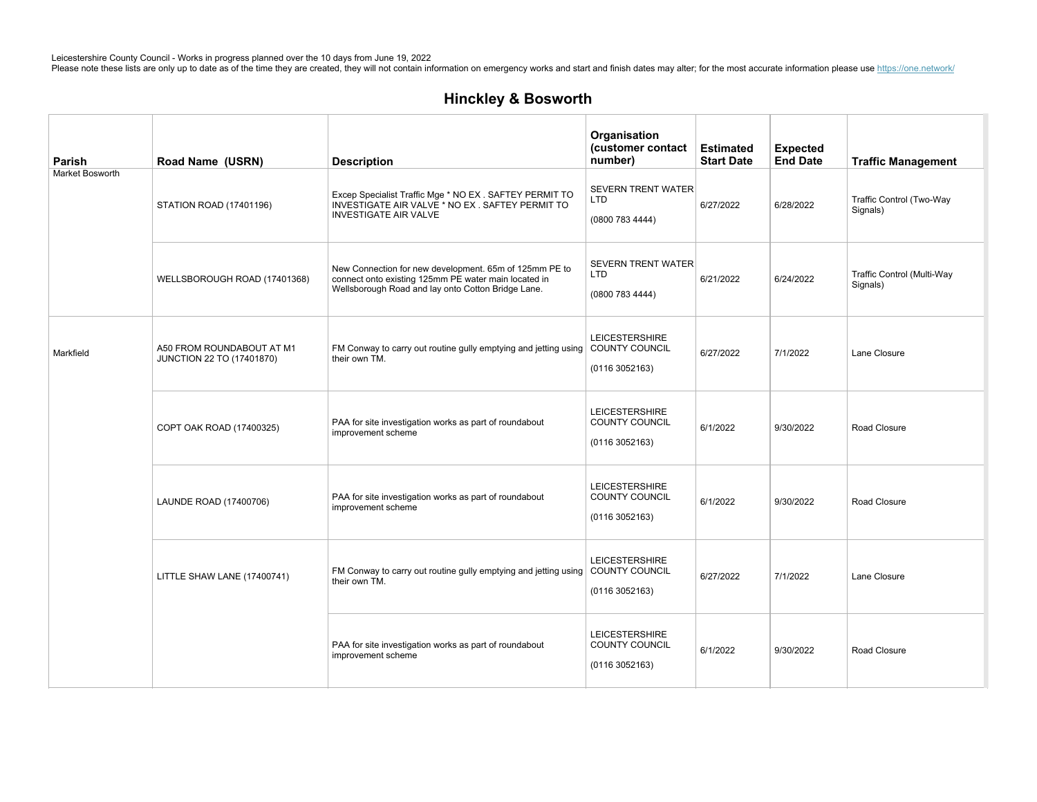| Parish          | Road Name (USRN)                                       | <b>Description</b>                                                                                                                                                   | Organisation<br>(customer contact<br>number)               | <b>Estimated</b><br><b>Start Date</b> | <b>Expected</b><br><b>End Date</b> | <b>Traffic Management</b>              |
|-----------------|--------------------------------------------------------|----------------------------------------------------------------------------------------------------------------------------------------------------------------------|------------------------------------------------------------|---------------------------------------|------------------------------------|----------------------------------------|
| Market Bosworth | STATION ROAD (17401196)                                | Excep Specialist Traffic Mge * NO EX . SAFTEY PERMIT TO<br>INVESTIGATE AIR VALVE * NO EX. SAFTEY PERMIT TO<br><b>INVESTIGATE AIR VALVE</b>                           | <b>SEVERN TRENT WATER</b><br>LTD<br>(0800 783 4444)        | 6/27/2022                             | 6/28/2022                          | Traffic Control (Two-Way<br>Signals)   |
|                 | WELLSBOROUGH ROAD (17401368)                           | New Connection for new development. 65m of 125mm PE to<br>connect onto existing 125mm PE water main located in<br>Wellsborough Road and lay onto Cotton Bridge Lane. | <b>SEVERN TRENT WATER</b><br><b>LTD</b><br>(0800 783 4444) | 6/21/2022                             | 6/24/2022                          | Traffic Control (Multi-Way<br>Signals) |
| Markfield       | A50 FROM ROUNDABOUT AT M1<br>JUNCTION 22 TO (17401870) | FM Conway to carry out routine gully emptying and jetting using COUNTY COUNCIL<br>their own TM.                                                                      | <b>LEICESTERSHIRE</b><br>(01163052163)                     | 6/27/2022                             | 7/1/2022                           | Lane Closure                           |
|                 | COPT OAK ROAD (17400325)                               | PAA for site investigation works as part of roundabout<br>improvement scheme                                                                                         | <b>LEICESTERSHIRE</b><br>COUNTY COUNCIL<br>(01163052163)   | 6/1/2022                              | 9/30/2022                          | Road Closure                           |
|                 | LAUNDE ROAD (17400706)                                 | PAA for site investigation works as part of roundabout<br>improvement scheme                                                                                         | <b>LEICESTERSHIRE</b><br>COUNTY COUNCIL<br>(01163052163)   | 6/1/2022                              | 9/30/2022                          | Road Closure                           |
|                 | LITTLE SHAW LANE (17400741)                            | FM Conway to carry out routine gully emptying and jetting using COUNTY COUNCIL<br>their own TM.                                                                      | <b>LEICESTERSHIRE</b><br>(01163052163)                     | 6/27/2022                             | 7/1/2022                           | Lane Closure                           |
|                 |                                                        | PAA for site investigation works as part of roundabout<br>improvement scheme                                                                                         | <b>LEICESTERSHIRE</b><br>COUNTY COUNCIL<br>(01163052163)   | 6/1/2022                              | 9/30/2022                          | Road Closure                           |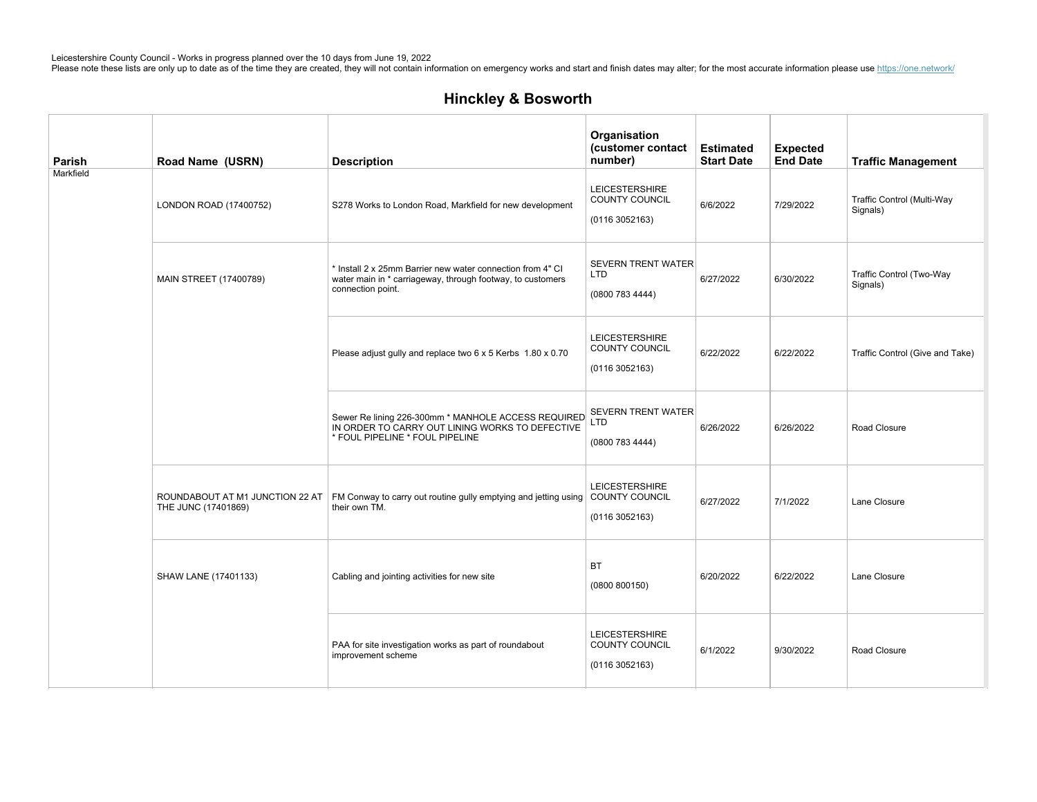| Parish    | Road Name (USRN)                                       | <b>Description</b>                                                                                                                            | Organisation<br>(customer contact<br>number)                    | <b>Estimated</b><br><b>Start Date</b> | <b>Expected</b><br><b>End Date</b> | <b>Traffic Management</b>              |
|-----------|--------------------------------------------------------|-----------------------------------------------------------------------------------------------------------------------------------------------|-----------------------------------------------------------------|---------------------------------------|------------------------------------|----------------------------------------|
| Markfield | LONDON ROAD (17400752)                                 | S278 Works to London Road, Markfield for new development                                                                                      | <b>LEICESTERSHIRE</b><br><b>COUNTY COUNCIL</b><br>(01163052163) | 6/6/2022                              | 7/29/2022                          | Traffic Control (Multi-Way<br>Signals) |
|           | <b>MAIN STREET (17400789)</b>                          | * Install 2 x 25mm Barrier new water connection from 4" CI<br>water main in * carriageway, through footway, to customers<br>connection point. | <b>SEVERN TRENT WATER</b><br><b>LTD</b><br>(0800 783 4444)      | 6/27/2022                             | 6/30/2022                          | Traffic Control (Two-Way<br>Signals)   |
|           |                                                        | Please adjust gully and replace two 6 x 5 Kerbs 1.80 x 0.70                                                                                   | LEICESTERSHIRE<br><b>COUNTY COUNCIL</b><br>(01163052163)        | 6/22/2022                             | 6/22/2022                          | Traffic Control (Give and Take)        |
|           |                                                        | Sewer Re lining 226-300mm * MANHOLE ACCESS REQUIRED<br>IN ORDER TO CARRY OUT LINING WORKS TO DEFECTIVE<br>* FOUL PIPELINE * FOUL PIPELINE     | <b>SEVERN TRENT WATER</b><br><b>LTD</b><br>(0800 783 4444)      | 6/26/2022                             | 6/26/2022                          | Road Closure                           |
|           | ROUNDABOUT AT M1 JUNCTION 22 AT<br>THE JUNC (17401869) | FM Conway to carry out routine gully emptying and jetting using COUNTY COUNCIL<br>their own TM.                                               | <b>LEICESTERSHIRE</b><br>(01163052163)                          | 6/27/2022                             | 7/1/2022                           | Lane Closure                           |
|           | SHAW LANE (17401133)                                   | Cabling and jointing activities for new site                                                                                                  | <b>BT</b><br>(0800 800150)                                      | 6/20/2022                             | 6/22/2022                          | Lane Closure                           |
|           |                                                        | PAA for site investigation works as part of roundabout<br>improvement scheme                                                                  | <b>LEICESTERSHIRE</b><br>COUNTY COUNCIL<br>(0116 3052163)       | 6/1/2022                              | 9/30/2022                          | Road Closure                           |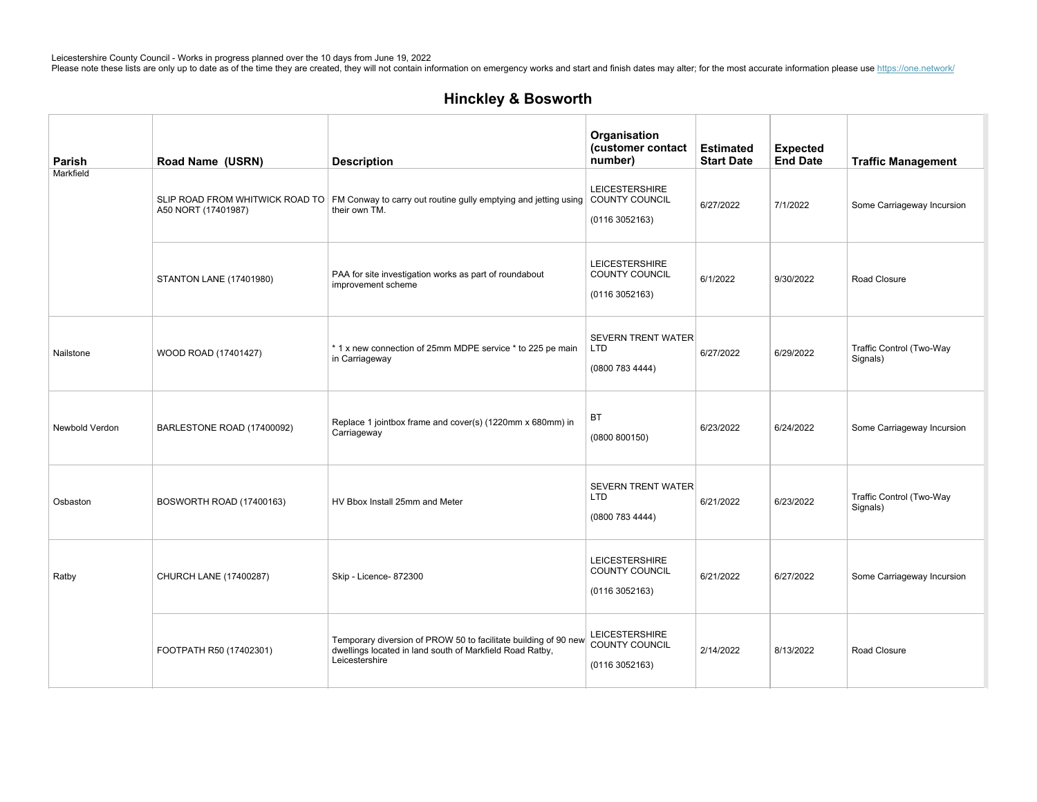MARKFIELDROADSERVICEROADFOR

Leicestershire County Council - Works in progress planned over the 10 days from June 19, 2022<br>Please note these lists are only up to date as of the time they are created, they will not contain information on emergency work

## Hinckley&Bosworth

| <b>Parish</b>  | Road Name (USRN)               | <b>Description</b>                                                                                                                            | Organisation<br>(customer contact<br>number)                    | <b>Estimated</b><br><b>Start Date</b> | <b>Expected</b><br><b>End Date</b> | <b>Traffic Management</b>            |
|----------------|--------------------------------|-----------------------------------------------------------------------------------------------------------------------------------------------|-----------------------------------------------------------------|---------------------------------------|------------------------------------|--------------------------------------|
| Markfield      | A50 NORT (17401987)            | SLIP ROAD FROM WHITWICK ROAD TO FM Conway to carry out routine gully emptying and jetting using COUNTY COUNCIL<br>their own TM.               | <b>LEICESTERSHIRE</b><br>(0116 3052163)                         | 6/27/2022                             | 7/1/2022                           | Some Carriageway Incursion           |
|                | <b>STANTON LANE (17401980)</b> | PAA for site investigation works as part of roundabout<br>improvement scheme                                                                  | <b>LEICESTERSHIRE</b><br><b>COUNTY COUNCIL</b><br>(01163052163) | 6/1/2022                              | 9/30/2022                          | Road Closure                         |
| Nailstone      | WOOD ROAD (17401427)           | *1 x new connection of 25mm MDPE service * to 225 pe main<br>in Carriageway                                                                   | <b>SEVERN TRENT WATER</b><br>LTD<br>(0800 783 4444)             | 6/27/2022                             | 6/29/2022                          | Traffic Control (Two-Way<br>Signals) |
| Newbold Verdon | BARLESTONE ROAD (17400092)     | Replace 1 jointbox frame and cover(s) (1220mm x 680mm) in<br>Carriageway                                                                      | BT<br>(0800 800150)                                             | 6/23/2022                             | 6/24/2022                          | Some Carriageway Incursion           |
| Osbaston       | BOSWORTH ROAD (17400163)       | HV Bbox Install 25mm and Meter                                                                                                                | <b>SEVERN TRENT WATER</b><br><b>LTD</b><br>(0800 783 4444)      | 6/21/2022                             | 6/23/2022                          | Traffic Control (Two-Way<br>Signals) |
| Ratby          | CHURCH LANE (17400287)         | Skip - Licence- 872300                                                                                                                        | <b>LEICESTERSHIRE</b><br>COUNTY COUNCIL<br>(01163052163)        | 6/21/2022                             | 6/27/2022                          | Some Carriageway Incursion           |
|                | FOOTPATH R50 (17402301)        | Temporary diversion of PROW 50 to facilitate building of 90 new<br>dwellings located in land south of Markfield Road Ratby,<br>Leicestershire | <b>LEICESTERSHIRE</b><br>COUNTY COUNCIL<br>(01163052163)        | 2/14/2022                             | 8/13/2022                          | Road Closure                         |

SEVERNTRENTWATER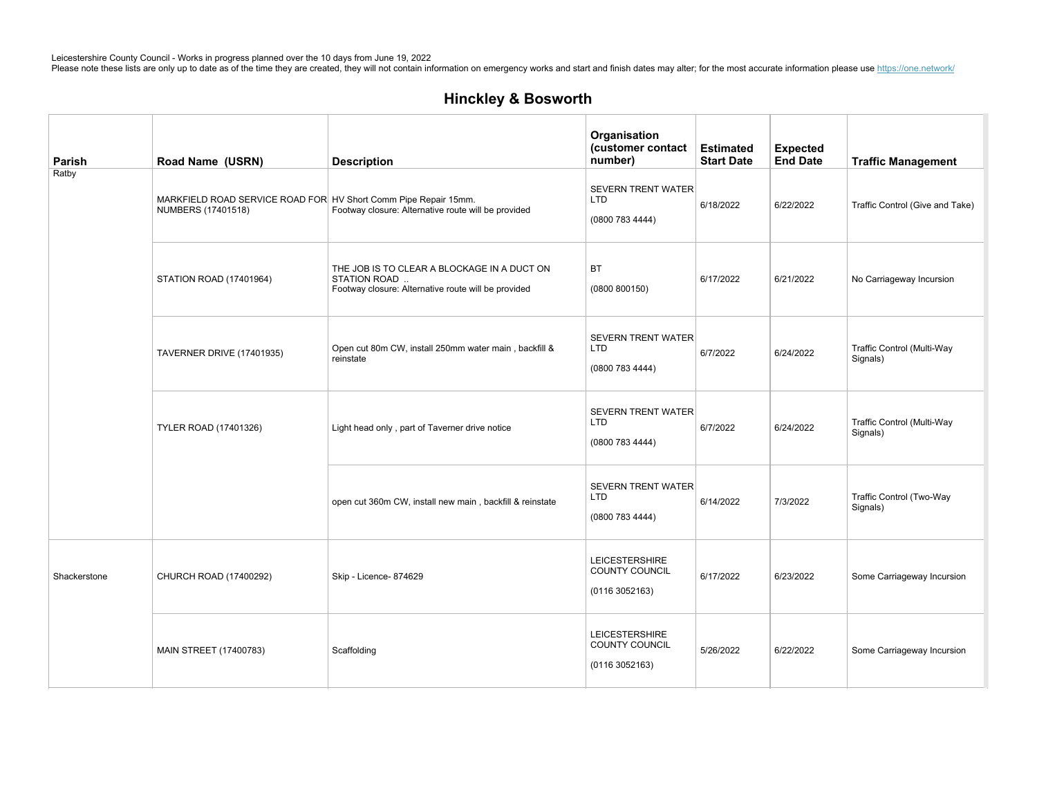| Parish       | Road Name (USRN)                                                                      | <b>Description</b>                                                                                                 | Organisation<br>(customer contact<br>number)               | <b>Estimated</b><br><b>Start Date</b> | <b>Expected</b><br><b>End Date</b> | <b>Traffic Management</b>              |
|--------------|---------------------------------------------------------------------------------------|--------------------------------------------------------------------------------------------------------------------|------------------------------------------------------------|---------------------------------------|------------------------------------|----------------------------------------|
| Ratby        | MARKFIELD ROAD SERVICE ROAD FOR HV Short Comm Pipe Repair 15mm.<br>NUMBERS (17401518) | Footway closure: Alternative route will be provided                                                                | <b>SEVERN TRENT WATER</b><br><b>LTD</b><br>(0800 783 4444) | 6/18/2022                             | 6/22/2022                          | Traffic Control (Give and Take)        |
|              | STATION ROAD (17401964)                                                               | THE JOB IS TO CLEAR A BLOCKAGE IN A DUCT ON<br>STATION ROAD<br>Footway closure: Alternative route will be provided | <b>BT</b><br>(0800 800150)                                 | 6/17/2022                             | 6/21/2022                          | No Carriageway Incursion               |
|              | <b>TAVERNER DRIVE (17401935)</b>                                                      | Open cut 80m CW, install 250mm water main, backfill &<br>reinstate                                                 | <b>SEVERN TRENT WATER</b><br>LTD<br>(0800 783 4444)        | 6/7/2022                              | 6/24/2022                          | Traffic Control (Multi-Way<br>Signals) |
|              | <b>TYLER ROAD (17401326)</b>                                                          | Light head only, part of Taverner drive notice                                                                     | <b>SEVERN TRENT WATER</b><br><b>LTD</b><br>(0800 783 4444) | 6/7/2022                              | 6/24/2022                          | Traffic Control (Multi-Way<br>Signals) |
|              |                                                                                       | open cut 360m CW, install new main, backfill & reinstate                                                           | <b>SEVERN TRENT WATER</b><br>LTD<br>(0800 783 4444)        | 6/14/2022                             | 7/3/2022                           | Traffic Control (Two-Way<br>Signals)   |
| Shackerstone | CHURCH ROAD (17400292)                                                                | Skip - Licence- 874629                                                                                             | <b>LEICESTERSHIRE</b><br>COUNTY COUNCIL<br>(01163052163)   | 6/17/2022                             | 6/23/2022                          | Some Carriageway Incursion             |
|              | MAIN STREET (17400783)                                                                | Scaffolding                                                                                                        | <b>LEICESTERSHIRE</b><br>COUNTY COUNCIL<br>(01163052163)   | 5/26/2022                             | 6/22/2022                          | Some Carriageway Incursion             |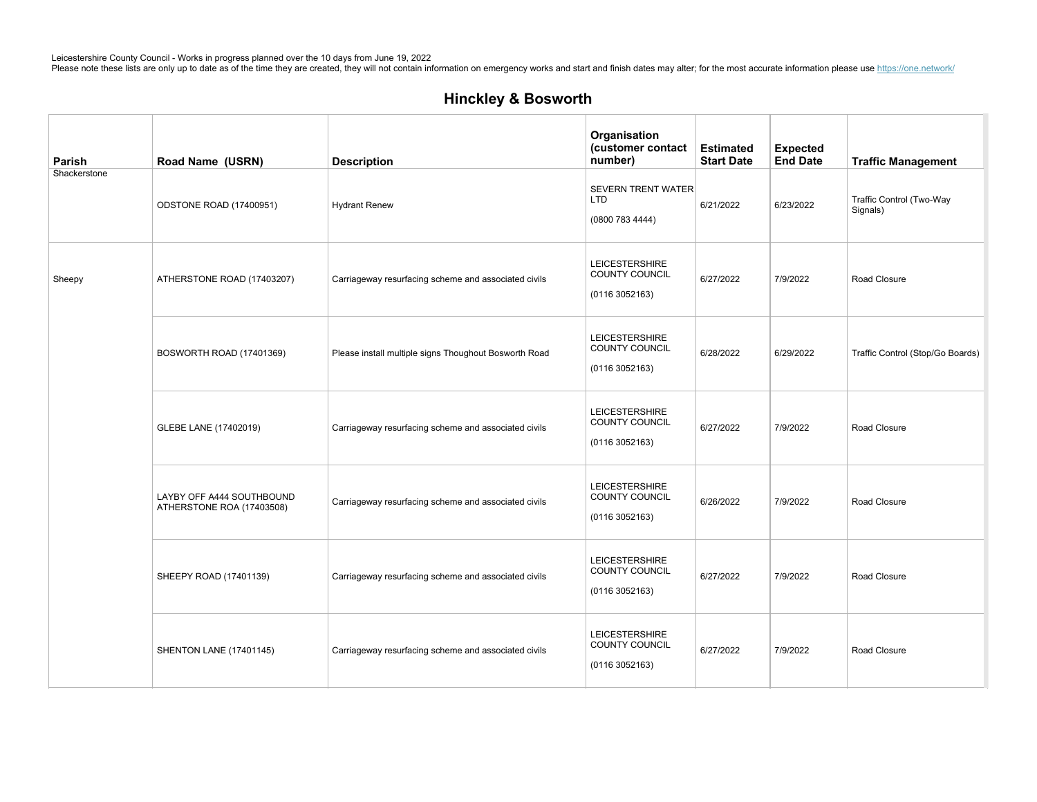| Parish       | Road Name (USRN)                                       | <b>Description</b>                                    | Organisation<br>(customer contact<br>number)             | <b>Estimated</b><br><b>Start Date</b> | <b>Expected</b><br><b>End Date</b> | <b>Traffic Management</b>            |
|--------------|--------------------------------------------------------|-------------------------------------------------------|----------------------------------------------------------|---------------------------------------|------------------------------------|--------------------------------------|
| Shackerstone | ODSTONE ROAD (17400951)                                | <b>Hydrant Renew</b>                                  | <b>SEVERN TRENT WATER</b><br><b>LTD</b><br>(08007834444) | 6/21/2022                             | 6/23/2022                          | Traffic Control (Two-Way<br>Signals) |
| Sheepy       | ATHERSTONE ROAD (17403207)                             | Carriageway resurfacing scheme and associated civils  | <b>LEICESTERSHIRE</b><br>COUNTY COUNCIL<br>(01163052163) | 6/27/2022                             | 7/9/2022                           | Road Closure                         |
|              | BOSWORTH ROAD (17401369)                               | Please install multiple signs Thoughout Bosworth Road | <b>LEICESTERSHIRE</b><br>COUNTY COUNCIL<br>(01163052163) | 6/28/2022                             | 6/29/2022                          | Traffic Control (Stop/Go Boards)     |
|              | GLEBE LANE (17402019)                                  | Carriageway resurfacing scheme and associated civils  | <b>LEICESTERSHIRE</b><br>COUNTY COUNCIL<br>(01163052163) | 6/27/2022                             | 7/9/2022                           | Road Closure                         |
|              | LAYBY OFF A444 SOUTHBOUND<br>ATHERSTONE ROA (17403508) | Carriageway resurfacing scheme and associated civils  | <b>LEICESTERSHIRE</b><br>COUNTY COUNCIL<br>(01163052163) | 6/26/2022                             | 7/9/2022                           | Road Closure                         |
|              | SHEEPY ROAD (17401139)                                 | Carriageway resurfacing scheme and associated civils  | <b>LEICESTERSHIRE</b><br>COUNTY COUNCIL<br>(01163052163) | 6/27/2022                             | 7/9/2022                           | Road Closure                         |
|              | <b>SHENTON LANE (17401145)</b>                         | Carriageway resurfacing scheme and associated civils  | <b>LEICESTERSHIRE</b><br>COUNTY COUNCIL<br>(01163052163) | 6/27/2022                             | 7/9/2022                           | Road Closure                         |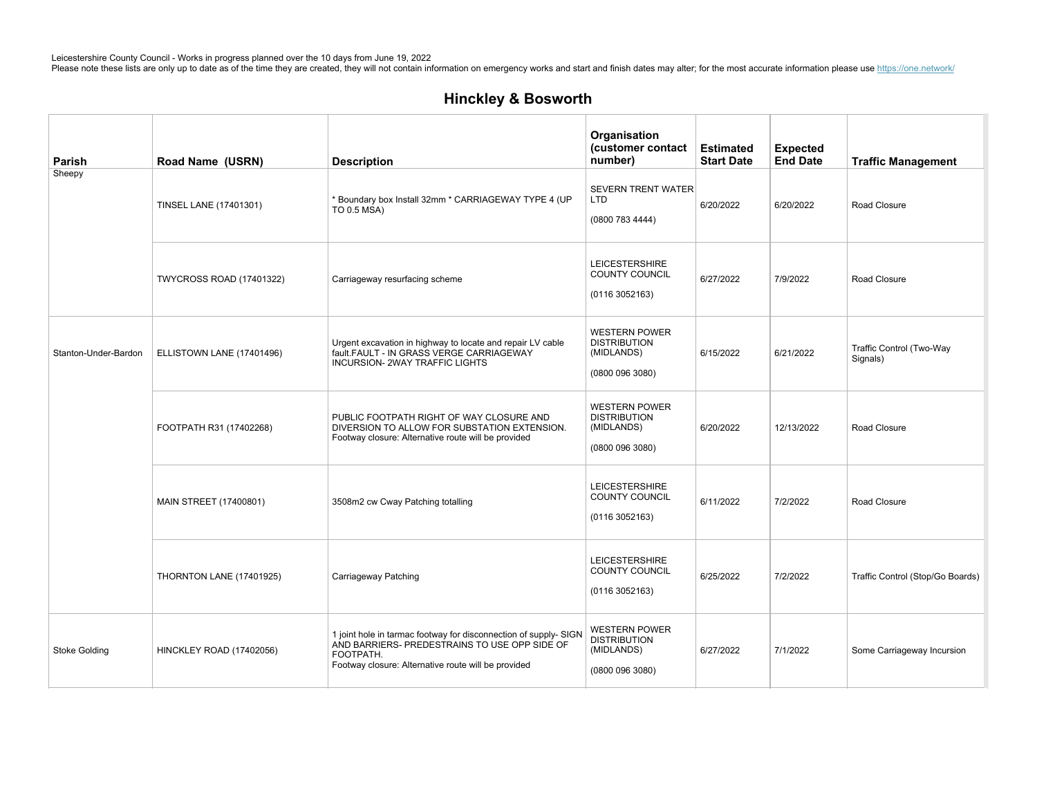| Parish               | Road Name (USRN)                | <b>Description</b>                                                                                                                                                                    | Organisation<br>(customer contact<br>number)                                 | <b>Estimated</b><br><b>Start Date</b> | <b>Expected</b><br><b>End Date</b> | <b>Traffic Management</b>            |
|----------------------|---------------------------------|---------------------------------------------------------------------------------------------------------------------------------------------------------------------------------------|------------------------------------------------------------------------------|---------------------------------------|------------------------------------|--------------------------------------|
| Sheepy               | TINSEL LANE (17401301)          | * Boundary box Install 32mm * CARRIAGEWAY TYPE 4 (UP<br>TO 0.5 MSA)                                                                                                                   | <b>SEVERN TRENT WATER</b><br>LTD<br>(0800 783 4444)                          | 6/20/2022                             | 6/20/2022                          | Road Closure                         |
|                      | <b>TWYCROSS ROAD (17401322)</b> | Carriageway resurfacing scheme                                                                                                                                                        | <b>LEICESTERSHIRE</b><br>COUNTY COUNCIL<br>(01163052163)                     | 6/27/2022                             | 7/9/2022                           | Road Closure                         |
| Stanton-Under-Bardon | ELLISTOWN LANE (17401496)       | Urgent excavation in highway to locate and repair LV cable<br>fault.FAULT - IN GRASS VERGE CARRIAGEWAY<br><b>INCURSION- 2WAY TRAFFIC LIGHTS</b>                                       | <b>WESTERN POWER</b><br><b>DISTRIBUTION</b><br>(MIDLANDS)<br>(08000963080)   | 6/15/2022                             | 6/21/2022                          | Traffic Control (Two-Way<br>Signals) |
|                      | FOOTPATH R31 (17402268)         | PUBLIC FOOTPATH RIGHT OF WAY CLOSURE AND<br>DIVERSION TO ALLOW FOR SUBSTATION EXTENSION.<br>Footway closure: Alternative route will be provided                                       | <b>WESTERN POWER</b><br><b>DISTRIBUTION</b><br>(MIDLANDS)<br>(08000963080)   | 6/20/2022                             | 12/13/2022                         | Road Closure                         |
|                      | MAIN STREET (17400801)          | 3508m2 cw Cway Patching totalling                                                                                                                                                     | <b>LEICESTERSHIRE</b><br>COUNTY COUNCIL<br>(01163052163)                     | 6/11/2022                             | 7/2/2022                           | Road Closure                         |
|                      | THORNTON LANE (17401925)        | Carriageway Patching                                                                                                                                                                  | <b>LEICESTERSHIRE</b><br>COUNTY COUNCIL<br>(01163052163)                     | 6/25/2022                             | 7/2/2022                           | Traffic Control (Stop/Go Boards)     |
| <b>Stoke Golding</b> | HINCKLEY ROAD (17402056)        | 1 joint hole in tarmac footway for disconnection of supply- SIGN<br>AND BARRIERS- PREDESTRAINS TO USE OPP SIDE OF<br>FOOTPATH.<br>Footway closure: Alternative route will be provided | <b>WESTERN POWER</b><br><b>DISTRIBUTION</b><br>(MIDLANDS)<br>(0800 096 3080) | 6/27/2022                             | 7/1/2022                           | Some Carriageway Incursion           |